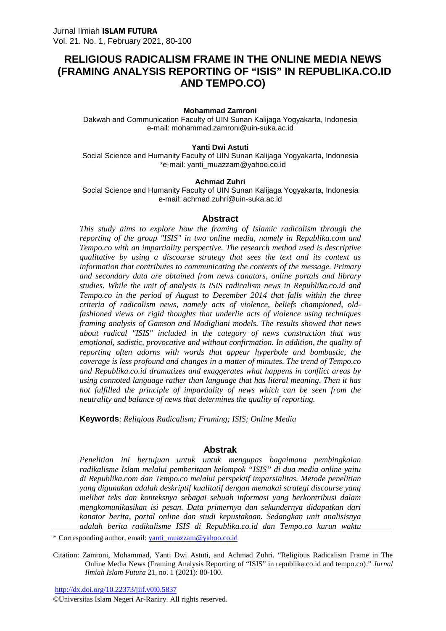#### **Mohammad Zamroni**

Dakwah and Communication Faculty of UIN Sunan Kalijaga Yogyakarta, Indonesia e-mail: mohammad.zamroni@uin-suka.ac.id

#### **Yanti Dwi Astuti**

Social Science and Humanity Faculty of UIN Sunan Kalijaga Yogyakarta, Indonesia \*e-mail: yanti\_muazzam@yahoo.co.id

#### **Achmad Zuhri**

Social Science and Humanity Faculty of UIN Sunan Kalijaga Yogyakarta, Indonesia e-mail: achmad.zuhri@uin-suka.ac.id

#### **Abstract**

*This study aims to explore how the framing of Islamic radicalism through the reporting of the group "ISIS" in two online media, namely in Republika.com and Tempo.co with an impartiality perspective. The research method used is descriptive qualitative by using a discourse strategy that sees the text and its context as information that contributes to communicating the contents of the message. Primary and secondary data are obtained from news canators, online portals and library studies. While the unit of analysis is ISIS radicalism news in Republika.co.id and Tempo.co in the period of August to December 2014 that falls within the three criteria of radicalism news, namely acts of violence, beliefs championed, oldfashioned views or rigid thoughts that underlie acts of violence using techniques framing analysis of Gamson and Modigliani models. The results showed that news about radical "ISIS" included in the category of news construction that was emotional, sadistic, provocative and without confirmation. In addition, the quality of reporting often adorns with words that appear hyperbole and bombastic, the coverage is less profound and changes in a matter of minutes. The trend of Tempo.co and Republika.co.id dramatizes and exaggerates what happens in conflict areas by using connoted language rather than language that has literal meaning. Then it has not fulfilled the principle of impartiality of news which can be seen from the neutrality and balance of news that determines the quality of reporting.*

**Keywords**: *Religious Radicalism; Framing; ISIS; Online Media*

#### **Abstrak**

*Penelitian ini bertujuan untuk untuk mengupas bagaimana pembingkaian radikalisme Islam melalui pemberitaan kelompok "ISIS" di dua media online yaitu di Republika.com dan Tempo.co melalui perspektif imparsialitas. Metode penelitian yang digunakan adalah deskriptif kualitatif dengan memakai strategi discourse yang melihat teks dan konteksnya sebagai sebuah informasi yang berkontribusi dalam mengkomunikasikan isi pesan. Data primernya dan sekundernya didapatkan dari kanator berita, portal online dan studi kepustakaan. Sedangkan unit analisisnya adalah berita radikalisme ISIS di Republika.co.id dan Tempo.co kurun waktu*

\* Corresponding author, email: yanti\_muazzam@yahoo.co.id

Citation: Zamroni, Mohammad, Yanti Dwi Astuti, and Achmad Zuhri. "Religious Radicalism Frame in The Online Media News (Framing Analysis Reporting of "ISIS" in republika.co.id and tempo.co)." *Jurnal Ilmiah Islam Futura* 21, no. 1 (2021): 80-100.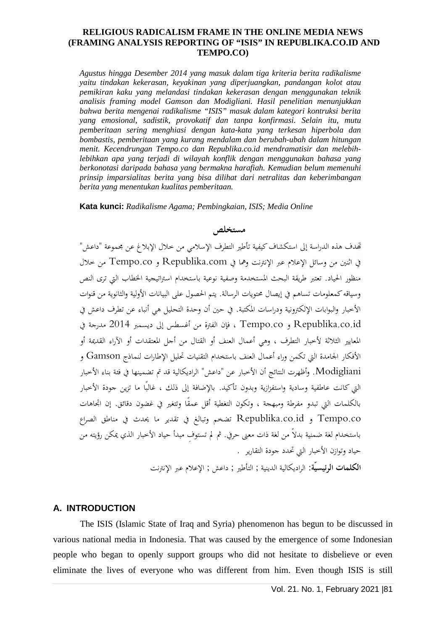*Agustus hingga Desember 2014 yang masuk dalam tiga kriteria berita radikalisme yaitu tindakan kekerasan, keyakinan yang diperjuangkan, pandangan kolot atau pemikiran kaku yang melandasi tindakan kekerasan dengan menggunakan teknik analisis framing model Gamson dan Modigliani. Hasil penelitian menunjukkan bahwa berita mengenai radikalisme "ISIS" masuk dalam kategori kontruksi berita yang emosional, sadistik, provokatif dan tanpa konfirmasi. Selain itu, mutu pemberitaan sering menghiasi dengan kata-kata yang terkesan hiperbola dan bombastis, pemberitaan yang kurang mendalam dan berubah-ubah dalam hitungan menit. Kecendrungan Tempo.co dan Republika.co.id mendramatisir dan melebihlebihkan apa yang terjadi di wilayah konflik dengan menggunakan bahasa yang berkonotasi daripada bahasa yang bermakna harafiah. Kemudian belum memenuhi prinsip imparsialitas berita yang bisa dilihat dari netralitas dan keberimbangan berita yang menentukan kualitas pemberitaan.*

**Kata kunci:** *Radikalisme Agama; Pembingkaian, ISIS; Media Online*

# **مستخلص**

دف هذه الدراسة إلى استكشاف كيفية تأطير التطرف الإسلامي من خلال الإبلاغ عن مجموعة "داعش" في اثنين من وسائل الإعلام عبر الإنترنت وهما في com.Republika و co.Tempo من خلال منظور الحياد. تعتبر طريقة البحث المستخدمة وصفية نوعية باستخدام استراتيجية الخطاب التي ترى النص وسياقه كمعلومات تساهم في إيصال محتويات الرسالة. يتم الحصول على البيانات الأولية والثانوية من قنوات الأخبار والبوابات الإلكترونية ودراسات المكتبة. في حين أن وحدة التحليل هي أنباء عن تطرف داعش في id.co.Republika و co.Tempo ، فإن الفترة من أغسطس إلى ديسمبر 2014 مدرجة في المعايير الثلاثة لأخبار التطرف ، وهي أعمال العنف أو القتال من أجل المعتقدات أو الآراء القديمة أو الأفكار الجامدة التي تكمن وراء أعمال العنف باستخدام التقنيات تحليل الإطارات لنماذج Gamson و Modigliani. وأظهرت النتائج أن الأخبار عن "داعش" الراديكالية قد تم تضمينها في فئة بناء الأخبار التي كانت عاطفية وسادية واستفزازية وبدون تأكيد. بالإضافة إلى ذلك ، غالبًا ما تزين جودة الأخبار بالكلمات التي تبدو مفرطة ومبهجة ، وتكون التغطية أقل عمقًا وتتغير في غضون دقائق. إن اتجاهات co.Tempo و id.co.Republika تضخم وتبالغ في تقدير ما يحدث في مناطق الصراع باستخدام لغة ضمنية بدلاً من لغة ذات معنى حرفي. ثم لم تستوفِ مبدأ حياد الأخبار الذي يمكن رؤيته من<br>حياد وتوازن الأخبار التي تحدد جودة التقارير . **الكلمات الرئيسيّة:** الراديكالية الدينية ; التأطير ; داعش ; الإعلام عبر الإنترنت

### **A. INTRODUCTION**

The ISIS (Islamic State of Iraq and Syria) phenomenon has begun to be discussed in various national media in Indonesia. That was caused by the emergence of some Indonesian people who began to openly support groups who did not hesitate to disbelieve or even eliminate the lives of everyone who was different from him. Even though ISIS is still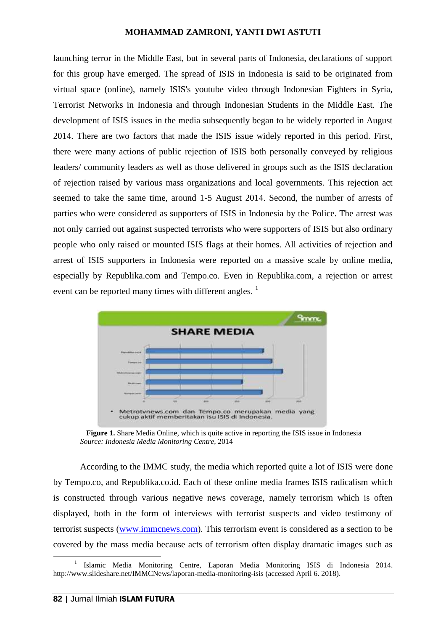launching terror in the Middle East, but in several parts of Indonesia, declarations of support for this group have emerged. The spread of ISIS in Indonesia is said to be originated from virtual space (online), namely ISIS's youtube video through Indonesian Fighters in Syria, Terrorist Networks in Indonesia and through Indonesian Students in the Middle East. The development of ISIS issues in the media subsequently began to be widely reported in August 2014. There are two factors that made the ISIS issue widely reported in this period. First, there were many actions of public rejection of ISIS both personally conveyed by religious leaders/ community leaders as well as those delivered in groups such as the ISIS declaration of rejection raised by various mass organizations and local governments. This rejection act seemed to take the same time, around 1-5 August 2014. Second, the number of arrests of parties who were considered as supporters of ISIS in Indonesia by the Police. The arrest was not only carried out against suspected terrorists who were supporters of ISIS but also ordinary people who only raised or mounted ISIS flags at their homes. All activities of rejection and arrest of ISIS supporters in Indonesia were reported on a massive scale by online media, especially by Republika.com and Tempo.co. Even in Republika.com, a rejection or arrest event can be reported many times with different angles.  $<sup>1</sup>$ </sup>



**Figure 1.** Share Media Online, which is quite active in reporting the ISIS issue in Indonesia *Source: Indonesia Media Monitoring Centre,* 2014

According to the IMMC study, the media which reported quite a lot of ISIS were done by Tempo.co, and Republika.co.id. Each of these online media frames ISIS radicalism which is constructed through various negative news coverage, namely terrorism which is often displayed, both in the form of interviews with terrorist suspects and video testimony of terrorist suspects (www.immcnews.com). This terrorism event is considered as a section to be covered by the mass media because acts of terrorism often display dramatic images such as

<sup>1</sup> Islamic Media Monitoring Centre, Laporan Media Monitoring ISIS di Indonesia 2014. http://www.slideshare.net/IMMCNews/laporan-media-monitoring-isis (accessed April 6. 2018).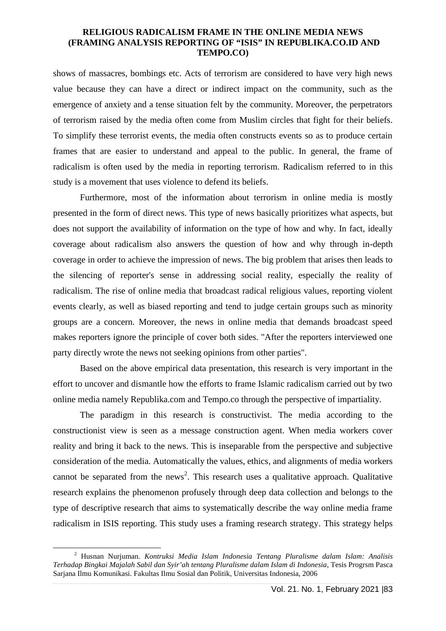shows of massacres, bombings etc. Acts of terrorism are considered to have very high news value because they can have a direct or indirect impact on the community, such as the emergence of anxiety and a tense situation felt by the community. Moreover, the perpetrators of terrorism raised by the media often come from Muslim circles that fight for their beliefs. To simplify these terrorist events, the media often constructs events so as to produce certain frames that are easier to understand and appeal to the public. In general, the frame of radicalism is often used by the media in reporting terrorism. Radicalism referred to in this study is a movement that uses violence to defend its beliefs.

Furthermore, most of the information about terrorism in online media is mostly presented in the form of direct news. This type of news basically prioritizes what aspects, but does not support the availability of information on the type of how and why. In fact, ideally coverage about radicalism also answers the question of how and why through in-depth coverage in order to achieve the impression of news. The big problem that arises then leads to the silencing of reporter's sense in addressing social reality, especially the reality of radicalism. The rise of online media that broadcast radical religious values, reporting violent events clearly, as well as biased reporting and tend to judge certain groups such as minority groups are a concern. Moreover, the news in online media that demands broadcast speed makes reporters ignore the principle of cover both sides. "After the reporters interviewed one party directly wrote the news not seeking opinions from other parties".

Based on the above empirical data presentation, this research is very important in the effort to uncover and dismantle how the efforts to frame Islamic radicalism carried out by two online media namely Republika.com and Tempo.co through the perspective of impartiality.

The paradigm in this research is constructivist. The media according to the constructionist view is seen as a message construction agent. When media workers cover reality and bring it back to the news. This is inseparable from the perspective and subjective consideration of the media. Automatically the values, ethics, and alignments of media workers cannot be separated from the news<sup>2</sup>. This research uses a qualitative approach. Qualitative research explains the phenomenon profusely through deep data collection and belongs to the type of descriptive research that aims to systematically describe the way online media frame radicalism in ISIS reporting. This study uses a framing research strategy. This strategy helps

<sup>2</sup> Husnan Nurjuman. *Kontruksi Media Islam Indonesia Tentang Pluralisme dalam Islam: Analisis Terhadap Bingkai Majalah Sabil dan Syir'ah tentang Pluralisme dalam Islam di Indonesia*, Tesis Progrsm Pasca Sarjana Ilmu Komunikasi. Fakultas Ilmu Sosial dan Politik, Universitas Indonesia, 2006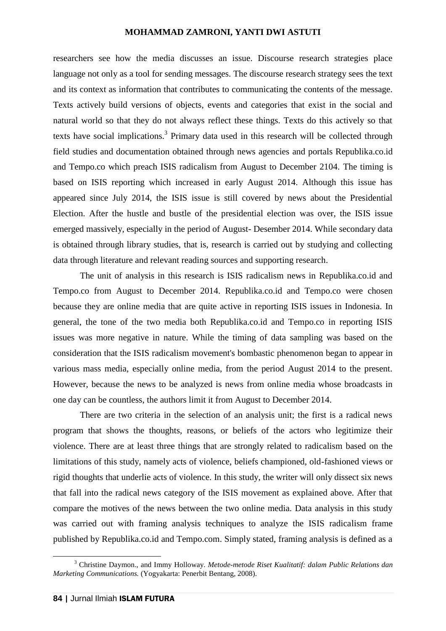researchers see how the media discusses an issue. Discourse research strategies place language not only as a tool for sending messages. The discourse research strategy sees the text and its context as information that contributes to communicating the contents of the message. Texts actively build versions of objects, events and categories that exist in the social and natural world so that they do not always reflect these things. Texts do this actively so that texts have social implications.<sup>3</sup> Primary data used in this research will be collected through field studies and documentation obtained through news agencies and portals Republika.co.id and Tempo.co which preach ISIS radicalism from August to December 2104. The timing is based on ISIS reporting which increased in early August 2014. Although this issue has appeared since July 2014, the ISIS issue is still covered by news about the Presidential Election. After the hustle and bustle of the presidential election was over, the ISIS issue emerged massively, especially in the period of August- Desember 2014. While secondary data is obtained through library studies, that is, research is carried out by studying and collecting data through literature and relevant reading sources and supporting research.

The unit of analysis in this research is ISIS radicalism news in Republika.co.id and Tempo.co from August to December 2014. Republika.co.id and Tempo.co were chosen because they are online media that are quite active in reporting ISIS issues in Indonesia. In general, the tone of the two media both Republika.co.id and Tempo.co in reporting ISIS issues was more negative in nature. While the timing of data sampling was based on the consideration that the ISIS radicalism movement's bombastic phenomenon began to appear in various mass media, especially online media, from the period August 2014 to the present. However, because the news to be analyzed is news from online media whose broadcasts in one day can be countless, the authors limit it from August to December 2014.

There are two criteria in the selection of an analysis unit; the first is a radical news program that shows the thoughts, reasons, or beliefs of the actors who legitimize their violence. There are at least three things that are strongly related to radicalism based on the limitations of this study, namely acts of violence, beliefs championed, old-fashioned views or rigid thoughts that underlie acts of violence. In this study, the writer will only dissect six news that fall into the radical news category of the ISIS movement as explained above. After that compare the motives of the news between the two online media. Data analysis in this study was carried out with framing analysis techniques to analyze the ISIS radicalism frame published by Republika.co.id and Tempo.com. Simply stated, framing analysis is defined as a

<sup>3</sup> Christine Daymon., and Immy Holloway. *Metode-metode Riset Kualitatif: dalam Public Relations dan Marketing Communications.* (Yogyakarta: Penerbit Bentang, 2008).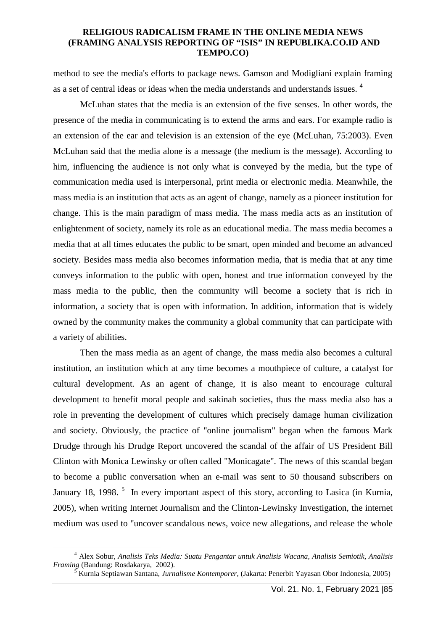method to see the media's efforts to package news. Gamson and Modigliani explain framing as a set of central ideas or ideas when the media understands and understands issues. <sup>4</sup>

McLuhan states that the media is an extension of the five senses. In other words, the presence of the media in communicating is to extend the arms and ears. For example radio is an extension of the ear and television is an extension of the eye (McLuhan, 75:2003). Even McLuhan said that the media alone is a message (the medium is the message). According to him, influencing the audience is not only what is conveyed by the media, but the type of communication media used is interpersonal, print media or electronic media. Meanwhile, the mass media is an institution that acts as an agent of change, namely as a pioneer institution for change. This is the main paradigm of mass media. The mass media acts as an institution of enlightenment of society, namely its role as an educational media. The mass media becomes a media that at all times educates the public to be smart, open minded and become an advanced society. Besides mass media also becomes information media, that is media that at any time conveys information to the public with open, honest and true information conveyed by the mass media to the public, then the community will become a society that is rich in information, a society that is open with information. In addition, information that is widely owned by the community makes the community a global community that can participate with a variety of abilities.

Then the mass media as an agent of change, the mass media also becomes a cultural institution, an institution which at any time becomes a mouthpiece of culture, a catalyst for cultural development. As an agent of change, it is also meant to encourage cultural development to benefit moral people and sakinah societies, thus the mass media also has a role in preventing the development of cultures which precisely damage human civilization and society. Obviously, the practice of "online journalism" began when the famous Mark Drudge through his Drudge Report uncovered the scandal of the affair of US President Bill Clinton with Monica Lewinsky or often called "Monicagate". The news of this scandal began to become a public conversation when an e-mail was sent to 50 thousand subscribers on January 18, 1998.<sup>5</sup> In every important aspect of this story, according to Lasica (in Kurnia, 2005), when writing Internet Journalism and the Clinton-Lewinsky Investigation, the internet medium was used to "uncover scandalous news, voice new allegations, and release the whole

<sup>4</sup> Alex Sobur, *Analisis Teks Media: Suatu Pengantar untuk Analisis Wacana, Analisis Semiotik, Analisis*

*Framing* (Bandung: Rosdakarya, 2002). <sup>5</sup> Kurnia Septiawan Santana, *Jurnalisme Kontemporer*, (Jakarta: Penerbit Yayasan Obor Indonesia, 2005)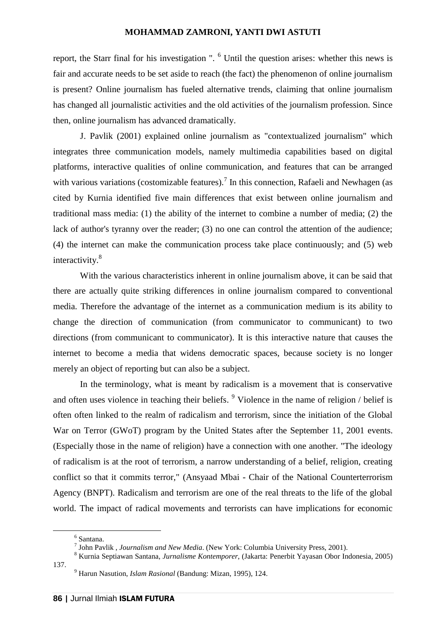report, the Starr final for his investigation ". <sup>6</sup> Until the question arises: whether this news is fair and accurate needs to be set aside to reach (the fact) the phenomenon of online journalism is present? Online journalism has fueled alternative trends, claiming that online journalism has changed all journalistic activities and the old activities of the journalism profession. Since then, online journalism has advanced dramatically.

J. Pavlik (2001) explained online journalism as "contextualized journalism" which integrates three communication models, namely multimedia capabilities based on digital platforms, interactive qualities of online communication, and features that can be arranged with various variations (costomizable features).<sup>7</sup> In this connection, Rafaeli and Newhagen (as cited by Kurnia identified five main differences that exist between online journalism and traditional mass media: (1) the ability of the internet to combine a number of media; (2) the lack of author's tyranny over the reader; (3) no one can control the attention of the audience; (4) the internet can make the communication process take place continuously; and (5) web interactivity.<sup>8</sup>

With the various characteristics inherent in online journalism above, it can be said that there are actually quite striking differences in online journalism compared to conventional media. Therefore the advantage of the internet as a communication medium is its ability to change the direction of communication (from communicator to communicant) to two directions (from communicant to communicator). It is this interactive nature that causes the internet to become a media that widens democratic spaces, because society is no longer merely an object of reporting but can also be a subject.

In the terminology, what is meant by radicalism is a movement that is conservative and often uses violence in teaching their beliefs.  $9$  Violence in the name of religion / belief is often often linked to the realm of radicalism and terrorism, since the initiation of the Global War on Terror (GWoT) program by the United States after the September 11, 2001 events. (Especially those in the name of religion) have a connection with one another. "The ideology of radicalism is at the root of terrorism, a narrow understanding of a belief, religion, creating conflict so that it commits terror," (Ansyaad Mbai - Chair of the National Counterterrorism Agency (BNPT). Radicalism and terrorism are one of the real threats to the life of the global world. The impact of radical movements and terrorists can have implications for economic

<sup>&</sup>lt;sup>6</sup> Santana.<br><sup>7</sup> John Pavlik , *Journalism and New Media*. (New York: Columbia University Press, 2001).<br><sup>8</sup> Kurnia Septiawan Santana, *Jurnalisme Kontemporer*, (Jakarta: Penerbit Yayasan Obor Indonesia, 2005)

<sup>137.</sup> <sup>9</sup> Harun Nasution, *Islam Rasional* (Bandung: Mizan, 1995), 124.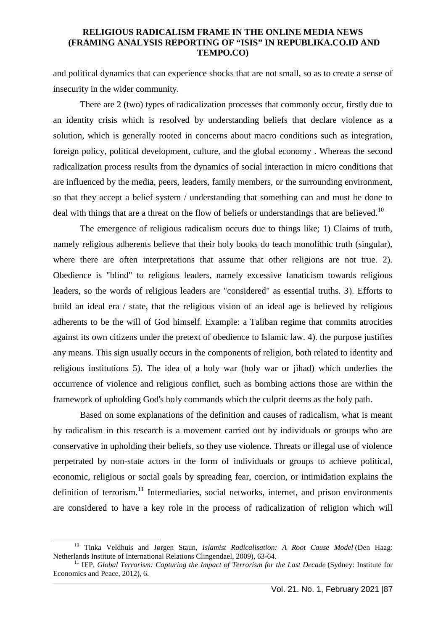and political dynamics that can experience shocks that are not small, so as to create a sense of insecurity in the wider community.

There are 2 (two) types of radicalization processes that commonly occur, firstly due to an identity crisis which is resolved by understanding beliefs that declare violence as a solution, which is generally rooted in concerns about macro conditions such as integration, foreign policy, political development, culture, and the global economy . Whereas the second radicalization process results from the dynamics of social interaction in micro conditions that are influenced by the media, peers, leaders, family members, or the surrounding environment, so that they accept a belief system / understanding that something can and must be done to deal with things that are a threat on the flow of beliefs or understandings that are believed.<sup>10</sup>

The emergence of religious radicalism occurs due to things like; 1) Claims of truth, namely religious adherents believe that their holy books do teach monolithic truth (singular), where there are often interpretations that assume that other religions are not true. 2). Obedience is "blind" to religious leaders, namely excessive fanaticism towards religious leaders, so the words of religious leaders are "considered" as essential truths. 3). Efforts to build an ideal era / state, that the religious vision of an ideal age is believed by religious adherents to be the will of God himself. Example: a Taliban regime that commits atrocities against its own citizens under the pretext of obedience to Islamic law. 4). the purpose justifies any means. This sign usually occurs in the components of religion, both related to identity and religious institutions 5). The idea of a holy war (holy war or jihad) which underlies the occurrence of violence and religious conflict, such as bombing actions those are within the framework of upholding God's holy commands which the culprit deems as the holy path.

Based on some explanations of the definition and causes of radicalism, what is meant by radicalism in this research is a movement carried out by individuals or groups who are conservative in upholding their beliefs, so they use violence. Threats or illegal use of violence perpetrated by non-state actors in the form of individuals or groups to achieve political, economic, religious or social goals by spreading fear, coercion, or intimidation explains the definition of terrorism.<sup>11</sup> Intermediaries, social networks, internet, and prison environments are considered to have a key role in the process of radicalization of religion which will

<sup>&</sup>lt;sup>10</sup> Tinka Veldhuis and Jørgen Staun, *Islamist Radicalisation: A Root Cause Model* (Den Haag: Netherlands Institute of International Relations Clingendael, 2009), 63-64.

<sup>&</sup>lt;sup>11</sup> IEP, *Global Terrorism: Capturing the Impact of Terrorism for the Last Decade* (Sydney: Institute for Economics and Peace, 2012), 6.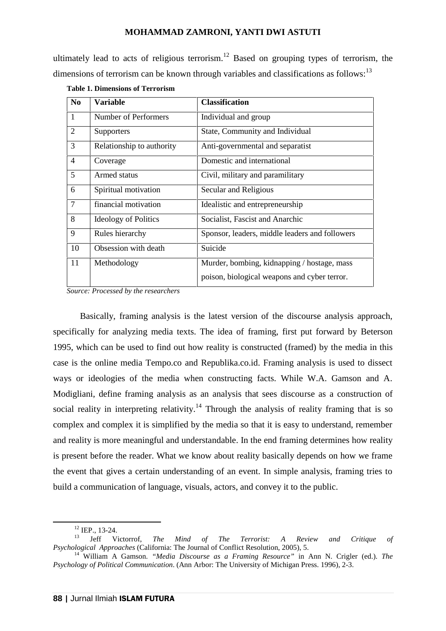ultimately lead to acts of religious terrorism.<sup>12</sup> Based on grouping types of terrorism, the dimensions of terrorism can be known through variables and classifications as follows:<sup>13</sup>

| N <sub>0</sub>  | Variable                    | <b>Classification</b>                          |
|-----------------|-----------------------------|------------------------------------------------|
| $\mathbf{1}$    | Number of Performers        | Individual and group                           |
| 2               | Supporters                  | State, Community and Individual                |
| 3               | Relationship to authority   | Anti-governmental and separatist               |
| $\overline{4}$  | Coverage                    | Domestic and international                     |
| 5               | Armed status                | Civil, military and paramilitary               |
| 6               | Spiritual motivation        | Secular and Religious                          |
| $7\phantom{.0}$ | financial motivation        | Idealistic and entrepreneurship                |
| 8               | <b>Ideology of Politics</b> | Socialist, Fascist and Anarchic                |
| 9               | Rules hierarchy             | Sponsor, leaders, middle leaders and followers |
| 10              | Obsession with death        | Suicide                                        |
| 11              | Methodology                 | Murder, bombing, kidnapping / hostage, mass    |
|                 |                             | poison, biological weapons and cyber terror.   |

**Table 1. Dimensions of Terrorism**

*Source: Processed by the researchers*

Basically, framing analysis is the latest version of the discourse analysis approach, specifically for analyzing media texts. The idea of framing, first put forward by Beterson 1995, which can be used to find out how reality is constructed (framed) by the media in this case is the online media Tempo.co and Republika.co.id. Framing analysis is used to dissect ways or ideologies of the media when constructing facts. While W.A. Gamson and A. Modigliani, define framing analysis as an analysis that sees discourse as a construction of social reality in interpreting relativity.<sup>14</sup> Through the analysis of reality framing that is so complex and complex it is simplified by the media so that it is easy to understand, remember and reality is more meaningful and understandable. In the end framing determines how reality is present before the reader. What we know about reality basically depends on how we frame the event that gives a certain understanding of an event. In simple analysis, framing tries to build a communication of language, visuals, actors, and convey it to the public.

<sup>&</sup>lt;sup>12</sup> IEP., 13-24.<br><sup>13</sup> Jeff Victorrof, *The Mind of The Terrorist: A Review and Critique of Psychological Approaches* (California: The Journal of Conflict Resolution, 2005), 5.<br><sup>14</sup> William A Gamson. *"Media Discourse as a Framing Resource"* in Ann N. Crigler (ed.). *The* 

*Psychology of Political Communication*. (Ann Arbor: The University of Michigan Press. 1996), 2-3.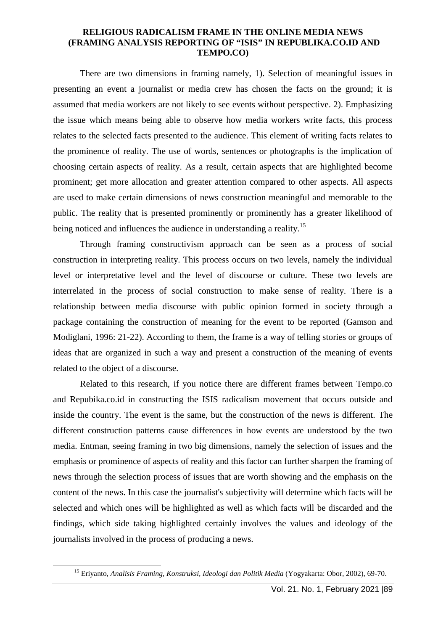There are two dimensions in framing namely, 1). Selection of meaningful issues in presenting an event a journalist or media crew has chosen the facts on the ground; it is assumed that media workers are not likely to see events without perspective. 2). Emphasizing the issue which means being able to observe how media workers write facts, this process relates to the selected facts presented to the audience. This element of writing facts relates to the prominence of reality. The use of words, sentences or photographs is the implication of choosing certain aspects of reality. As a result, certain aspects that are highlighted become prominent; get more allocation and greater attention compared to other aspects. All aspects are used to make certain dimensions of news construction meaningful and memorable to the public. The reality that is presented prominently or prominently has a greater likelihood of being noticed and influences the audience in understanding a reality.<sup>15</sup>

Through framing constructivism approach can be seen as a process of social construction in interpreting reality. This process occurs on two levels, namely the individual level or interpretative level and the level of discourse or culture. These two levels are interrelated in the process of social construction to make sense of reality. There is a relationship between media discourse with public opinion formed in society through a package containing the construction of meaning for the event to be reported (Gamson and Modiglani, 1996: 21-22). According to them, the frame is a way of telling stories or groups of ideas that are organized in such a way and present a construction of the meaning of events related to the object of a discourse.

Related to this research, if you notice there are different frames between Tempo.co and Repubika.co.id in constructing the ISIS radicalism movement that occurs outside and inside the country. The event is the same, but the construction of the news is different. The different construction patterns cause differences in how events are understood by the two media. Entman, seeing framing in two big dimensions, namely the selection of issues and the emphasis or prominence of aspects of reality and this factor can further sharpen the framing of news through the selection process of issues that are worth showing and the emphasis on the content of the news. In this case the journalist's subjectivity will determine which facts will be selected and which ones will be highlighted as well as which facts will be discarded and the findings, which side taking highlighted certainly involves the values and ideology of the journalists involved in the process of producing a news.

<sup>15</sup> Eriyanto, *Analisis Framing, Konstruksi, Ideologi dan Politik Media* (Yogyakarta: Obor, 2002), 69-70.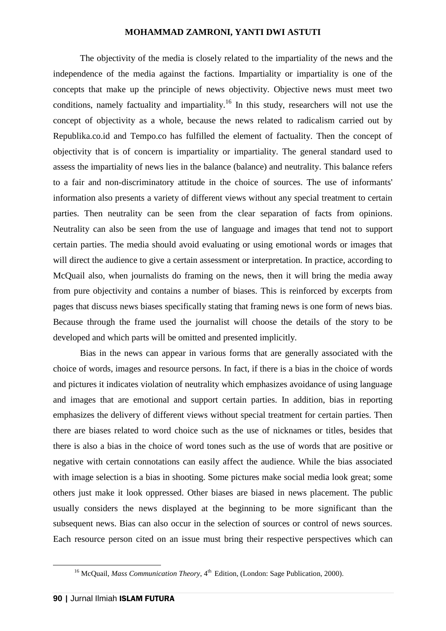The objectivity of the media is closely related to the impartiality of the news and the independence of the media against the factions. Impartiality or impartiality is one of the concepts that make up the principle of news objectivity. Objective news must meet two conditions, namely factuality and impartiality.<sup>16</sup> In this study, researchers will not use the concept of objectivity as a whole, because the news related to radicalism carried out by Republika.co.id and Tempo.co has fulfilled the element of factuality. Then the concept of objectivity that is of concern is impartiality or impartiality. The general standard used to assess the impartiality of news lies in the balance (balance) and neutrality. This balance refers to a fair and non-discriminatory attitude in the choice of sources. The use of informants' information also presents a variety of different views without any special treatment to certain parties. Then neutrality can be seen from the clear separation of facts from opinions. Neutrality can also be seen from the use of language and images that tend not to support certain parties. The media should avoid evaluating or using emotional words or images that will direct the audience to give a certain assessment or interpretation. In practice, according to McQuail also, when journalists do framing on the news, then it will bring the media away from pure objectivity and contains a number of biases. This is reinforced by excerpts from pages that discuss news biases specifically stating that framing news is one form of news bias. Because through the frame used the journalist will choose the details of the story to be developed and which parts will be omitted and presented implicitly.

Bias in the news can appear in various forms that are generally associated with the choice of words, images and resource persons. In fact, if there is a bias in the choice of words and pictures it indicates violation of neutrality which emphasizes avoidance of using language and images that are emotional and support certain parties. In addition, bias in reporting emphasizes the delivery of different views without special treatment for certain parties. Then there are biases related to word choice such as the use of nicknames or titles, besides that there is also a bias in the choice of word tones such as the use of words that are positive or negative with certain connotations can easily affect the audience. While the bias associated with image selection is a bias in shooting. Some pictures make social media look great; some others just make it look oppressed. Other biases are biased in news placement. The public usually considers the news displayed at the beginning to be more significant than the subsequent news. Bias can also occur in the selection of sources or control of news sources. Each resource person cited on an issue must bring their respective perspectives which can

<sup>&</sup>lt;sup>16</sup> McQuail, *Mass Communication Theory*, 4<sup>th</sup> Edition, (London: Sage Publication, 2000).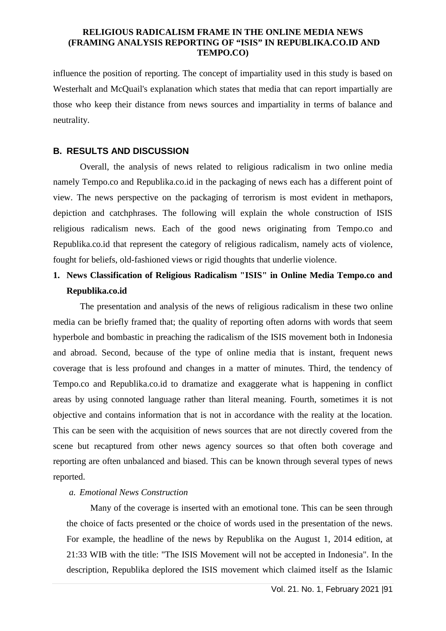influence the position of reporting. The concept of impartiality used in this study is based on Westerhalt and McQuail's explanation which states that media that can report impartially are those who keep their distance from news sources and impartiality in terms of balance and neutrality.

## **B. RESULTS AND DISCUSSION**

Overall, the analysis of news related to religious radicalism in two online media namely Tempo.co and Republika.co.id in the packaging of news each has a different point of view. The news perspective on the packaging of terrorism is most evident in methapors, depiction and catchphrases. The following will explain the whole construction of ISIS religious radicalism news. Each of the good news originating from Tempo.co and Republika.co.id that represent the category of religious radicalism, namely acts of violence, fought for beliefs, old-fashioned views or rigid thoughts that underlie violence.

# **1. News Classification of Religious Radicalism "ISIS" in Online Media Tempo.co and Republika.co.id**

The presentation and analysis of the news of religious radicalism in these two online media can be briefly framed that; the quality of reporting often adorns with words that seem hyperbole and bombastic in preaching the radicalism of the ISIS movement both in Indonesia and abroad. Second, because of the type of online media that is instant, frequent news coverage that is less profound and changes in a matter of minutes. Third, the tendency of Tempo.co and Republika.co.id to dramatize and exaggerate what is happening in conflict areas by using connoted language rather than literal meaning. Fourth, sometimes it is not objective and contains information that is not in accordance with the reality at the location. This can be seen with the acquisition of news sources that are not directly covered from the scene but recaptured from other news agency sources so that often both coverage and reporting are often unbalanced and biased. This can be known through several types of news reported.

### *a. Emotional News Construction*

Many of the coverage is inserted with an emotional tone. This can be seen through the choice of facts presented or the choice of words used in the presentation of the news. For example, the headline of the news by Republika on the August 1, 2014 edition, at 21:33 WIB with the title: "The ISIS Movement will not be accepted in Indonesia". In the description, Republika deplored the ISIS movement which claimed itself as the Islamic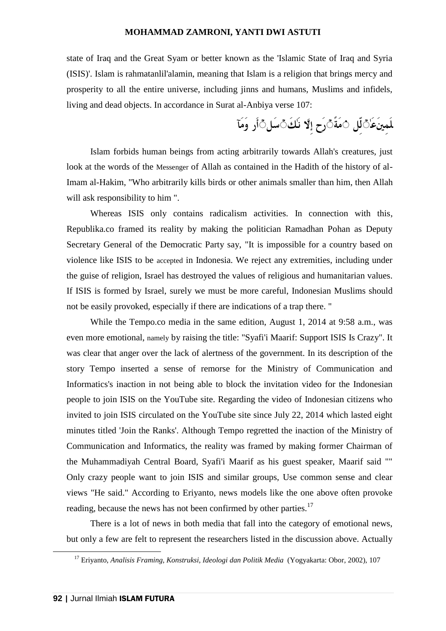state of Iraq and the Great Syam or better known as the 'Islamic State of Iraq and Syria (ISIS)'. Islam is rahmatanlil'alamin, meaning that Islam is a religion that brings mercy and prosperity to all the entire universe, including jinns and humans, Muslims and infidels, living and dead objects. In accordance in Surat al-Anbiya verse 107:

**لَمِينَ عَـٰ ◌ۡ لِّل ◌۬ مَةً ◌ۡ رَح إِلاَّ نَـٰكَ ◌ۡ سَل◌ۡ أَر وَمَآ**

Islam forbids human beings from acting arbitrarily towards Allah's creatures, just look at the words of the Messenger of Allah as contained in the Hadith of the history of al-Imam al-Hakim, "Who arbitrarily kills birds or other animals smaller than him, then Allah will ask responsibility to him ".

Whereas ISIS only contains radicalism activities. In connection with this, Republika.co framed its reality by making the politician Ramadhan Pohan as Deputy Secretary General of the Democratic Party say, "It is impossible for a country based on violence like ISIS to be accepted in Indonesia. We reject any extremities, including under the guise of religion, Israel has destroyed the values of religious and humanitarian values. If ISIS is formed by Israel, surely we must be more careful, Indonesian Muslims should not be easily provoked, especially if there are indications of a trap there. "

While the Tempo.co media in the same edition, August 1, 2014 at 9:58 a.m., was even more emotional, namely by raising the title: "Syafi'i Maarif: Support ISIS Is Crazy". It was clear that anger over the lack of alertness of the government. In its description of the story Tempo inserted a sense of remorse for the Ministry of Communication and Informatics's inaction in not being able to block the invitation video for the Indonesian people to join ISIS on the YouTube site. Regarding the video of Indonesian citizens who invited to join ISIS circulated on the YouTube site since July 22, 2014 which lasted eight minutes titled 'Join the Ranks'. Although Tempo regretted the inaction of the Ministry of Communication and Informatics, the reality was framed by making former Chairman of the Muhammadiyah Central Board, Syafi'i Maarif as his guest speaker, Maarif said "" Only crazy people want to join ISIS and similar groups, Use common sense and clear views "He said." According to Eriyanto, news models like the one above often provoke reading, because the news has not been confirmed by other parties.<sup>17</sup>

There is a lot of news in both media that fall into the category of emotional news, but only a few are felt to represent the researchers listed in the discussion above. Actually

<sup>17</sup> Eriyanto, *Analisis Framing, Konstruksi, Ideologi dan Politik Media* (Yogyakarta: Obor, 2002), 107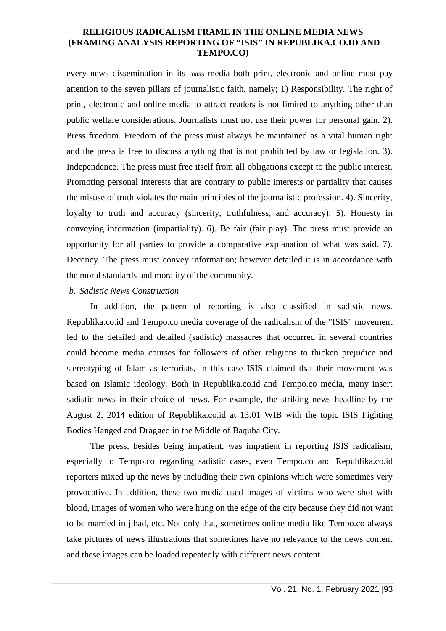every news dissemination in its mass media both print, electronic and online must pay attention to the seven pillars of journalistic faith, namely; 1) Responsibility. The right of print, electronic and online media to attract readers is not limited to anything other than public welfare considerations. Journalists must not use their power for personal gain. 2). Press freedom. Freedom of the press must always be maintained as a vital human right and the press is free to discuss anything that is not prohibited by law or legislation. 3). Independence. The press must free itself from all obligations except to the public interest. Promoting personal interests that are contrary to public interests or partiality that causes the misuse of truth violates the main principles of the journalistic profession. 4). Sincerity, loyalty to truth and accuracy (sincerity, truthfulness, and accuracy). 5). Honesty in conveying information (impartiality). 6). Be fair (fair play). The press must provide an opportunity for all parties to provide a comparative explanation of what was said. 7). Decency. The press must convey information; however detailed it is in accordance with the moral standards and morality of the community.

## *b. Sadistic News Construction*

In addition, the pattern of reporting is also classified in sadistic news. Republika.co.id and Tempo.co media coverage of the radicalism of the "ISIS" movement led to the detailed and detailed (sadistic) massacres that occurred in several countries could become media courses for followers of other religions to thicken prejudice and stereotyping of Islam as terrorists, in this case ISIS claimed that their movement was based on Islamic ideology. Both in Republika.co.id and Tempo.co media, many insert sadistic news in their choice of news. For example, the striking news headline by the August 2, 2014 edition of Republika.co.id at 13:01 WIB with the topic ISIS Fighting Bodies Hanged and Dragged in the Middle of Baquba City.

The press, besides being impatient, was impatient in reporting ISIS radicalism, especially to Tempo.co regarding sadistic cases, even Tempo.co and Republika.co.id reporters mixed up the news by including their own opinions which were sometimes very provocative. In addition, these two media used images of victims who were shot with blood, images of women who were hung on the edge of the city because they did not want to be married in jihad, etc. Not only that, sometimes online media like Tempo.co always take pictures of news illustrations that sometimes have no relevance to the news content and these images can be loaded repeatedly with different news content.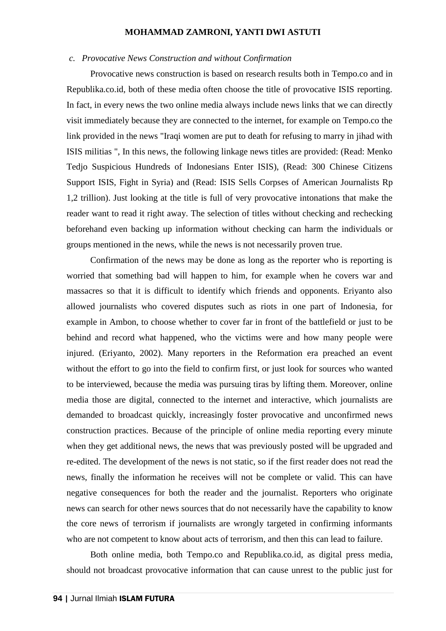#### *c. Provocative News Construction and without Confirmation*

Provocative news construction is based on research results both in Tempo.co and in Republika.co.id, both of these media often choose the title of provocative ISIS reporting. In fact, in every news the two online media always include news links that we can directly visit immediately because they are connected to the internet, for example on Tempo.co the link provided in the news "Iraqi women are put to death for refusing to marry in jihad with ISIS militias ", In this news, the following linkage news titles are provided: (Read: Menko Tedjo Suspicious Hundreds of Indonesians Enter ISIS), (Read: 300 Chinese Citizens Support ISIS, Fight in Syria) and (Read: ISIS Sells Corpses of American Journalists Rp 1,2 trillion). Just looking at the title is full of very provocative intonations that make the reader want to read it right away. The selection of titles without checking and rechecking beforehand even backing up information without checking can harm the individuals or groups mentioned in the news, while the news is not necessarily proven true.

Confirmation of the news may be done as long as the reporter who is reporting is worried that something bad will happen to him, for example when he covers war and massacres so that it is difficult to identify which friends and opponents. Eriyanto also allowed journalists who covered disputes such as riots in one part of Indonesia, for example in Ambon, to choose whether to cover far in front of the battlefield or just to be behind and record what happened, who the victims were and how many people were injured. (Eriyanto, 2002). Many reporters in the Reformation era preached an event without the effort to go into the field to confirm first, or just look for sources who wanted to be interviewed, because the media was pursuing tiras by lifting them. Moreover, online media those are digital, connected to the internet and interactive, which journalists are demanded to broadcast quickly, increasingly foster provocative and unconfirmed news construction practices. Because of the principle of online media reporting every minute when they get additional news, the news that was previously posted will be upgraded and re-edited. The development of the news is not static, so if the first reader does not read the news, finally the information he receives will not be complete or valid. This can have negative consequences for both the reader and the journalist. Reporters who originate news can search for other news sources that do not necessarily have the capability to know the core news of terrorism if journalists are wrongly targeted in confirming informants who are not competent to know about acts of terrorism, and then this can lead to failure.

Both online media, both Tempo.co and Republika.co.id, as digital press media, should not broadcast provocative information that can cause unrest to the public just for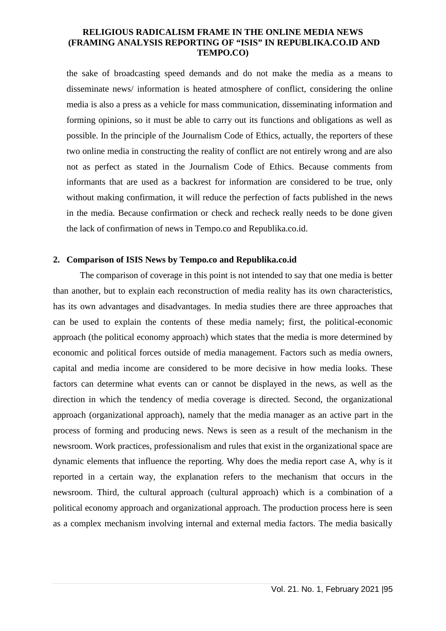the sake of broadcasting speed demands and do not make the media as a means to disseminate news/ information is heated atmosphere of conflict, considering the online media is also a press as a vehicle for mass communication, disseminating information and forming opinions, so it must be able to carry out its functions and obligations as well as possible. In the principle of the Journalism Code of Ethics, actually, the reporters of these two online media in constructing the reality of conflict are not entirely wrong and are also not as perfect as stated in the Journalism Code of Ethics. Because comments from informants that are used as a backrest for information are considered to be true, only without making confirmation, it will reduce the perfection of facts published in the news in the media. Because confirmation or check and recheck really needs to be done given the lack of confirmation of news in Tempo.co and Republika.co.id.

### **2. Comparison of ISIS News by Tempo.co and Republika.co.id**

The comparison of coverage in this point is not intended to say that one media is better than another, but to explain each reconstruction of media reality has its own characteristics, has its own advantages and disadvantages. In media studies there are three approaches that can be used to explain the contents of these media namely; first, the political-economic approach (the political economy approach) which states that the media is more determined by economic and political forces outside of media management. Factors such as media owners, capital and media income are considered to be more decisive in how media looks. These factors can determine what events can or cannot be displayed in the news, as well as the direction in which the tendency of media coverage is directed. Second, the organizational approach (organizational approach), namely that the media manager as an active part in the process of forming and producing news. News is seen as a result of the mechanism in the newsroom. Work practices, professionalism and rules that exist in the organizational space are dynamic elements that influence the reporting. Why does the media report case A, why is it reported in a certain way, the explanation refers to the mechanism that occurs in the newsroom. Third, the cultural approach (cultural approach) which is a combination of a political economy approach and organizational approach. The production process here is seen as a complex mechanism involving internal and external media factors. The media basically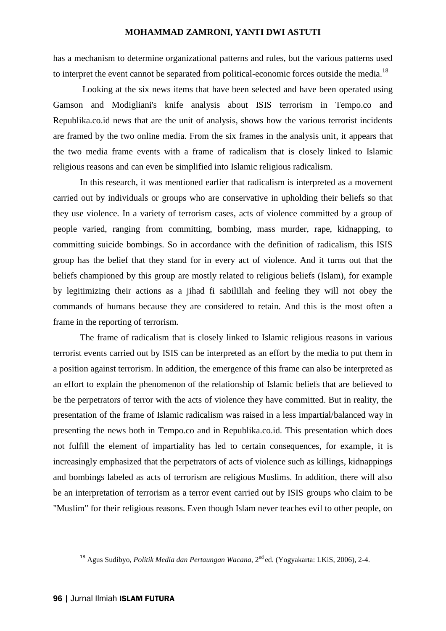has a mechanism to determine organizational patterns and rules, but the various patterns used to interpret the event cannot be separated from political-economic forces outside the media.<sup>18</sup>

Looking at the six news items that have been selected and have been operated using Gamson and Modigliani's knife analysis about ISIS terrorism in Tempo.co and Republika.co.id news that are the unit of analysis, shows how the various terrorist incidents are framed by the two online media. From the six frames in the analysis unit, it appears that the two media frame events with a frame of radicalism that is closely linked to Islamic religious reasons and can even be simplified into Islamic religious radicalism.

In this research, it was mentioned earlier that radicalism is interpreted as a movement carried out by individuals or groups who are conservative in upholding their beliefs so that they use violence. In a variety of terrorism cases, acts of violence committed by a group of people varied, ranging from committing, bombing, mass murder, rape, kidnapping, to committing suicide bombings. So in accordance with the definition of radicalism, this ISIS group has the belief that they stand for in every act of violence. And it turns out that the beliefs championed by this group are mostly related to religious beliefs (Islam), for example by legitimizing their actions as a jihad fi sabilillah and feeling they will not obey the commands of humans because they are considered to retain. And this is the most often a frame in the reporting of terrorism.

The frame of radicalism that is closely linked to Islamic religious reasons in various terrorist events carried out by ISIS can be interpreted as an effort by the media to put them in a position against terrorism. In addition, the emergence of this frame can also be interpreted as an effort to explain the phenomenon of the relationship of Islamic beliefs that are believed to be the perpetrators of terror with the acts of violence they have committed. But in reality, the presentation of the frame of Islamic radicalism was raised in a less impartial/balanced way in presenting the news both in Tempo.co and in Republika.co.id. This presentation which does not fulfill the element of impartiality has led to certain consequences, for example, it is increasingly emphasized that the perpetrators of acts of violence such as killings, kidnappings and bombings labeled as acts of terrorism are religious Muslims. In addition, there will also be an interpretation of terrorism as a terror event carried out by ISIS groups who claim to be "Muslim" for their religious reasons. Even though Islam never teaches evil to other people, on

<sup>&</sup>lt;sup>18</sup> Agus Sudibyo, *Politik Media dan Pertaungan Wacana*, 2<sup>nd</sup> ed. (Yogyakarta: LKiS, 2006), 2-4.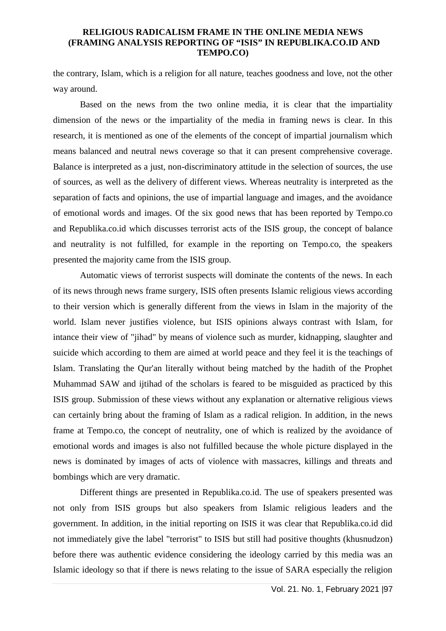the contrary, Islam, which is a religion for all nature, teaches goodness and love, not the other way around.

Based on the news from the two online media, it is clear that the impartiality dimension of the news or the impartiality of the media in framing news is clear. In this research, it is mentioned as one of the elements of the concept of impartial journalism which means balanced and neutral news coverage so that it can present comprehensive coverage. Balance is interpreted as a just, non-discriminatory attitude in the selection of sources, the use of sources, as well as the delivery of different views. Whereas neutrality is interpreted as the separation of facts and opinions, the use of impartial language and images, and the avoidance of emotional words and images. Of the six good news that has been reported by Tempo.co and Republika.co.id which discusses terrorist acts of the ISIS group, the concept of balance and neutrality is not fulfilled, for example in the reporting on Tempo.co, the speakers presented the majority came from the ISIS group.

Automatic views of terrorist suspects will dominate the contents of the news. In each of its news through news frame surgery, ISIS often presents Islamic religious views according to their version which is generally different from the views in Islam in the majority of the world. Islam never justifies violence, but ISIS opinions always contrast with Islam, for intance their view of "jihad" by means of violence such as murder, kidnapping, slaughter and suicide which according to them are aimed at world peace and they feel it is the teachings of Islam. Translating the Qur'an literally without being matched by the hadith of the Prophet Muhammad SAW and ijtihad of the scholars is feared to be misguided as practiced by this ISIS group. Submission of these views without any explanation or alternative religious views can certainly bring about the framing of Islam as a radical religion. In addition, in the news frame at Tempo.co, the concept of neutrality, one of which is realized by the avoidance of emotional words and images is also not fulfilled because the whole picture displayed in the news is dominated by images of acts of violence with massacres, killings and threats and bombings which are very dramatic.

Different things are presented in Republika.co.id. The use of speakers presented was not only from ISIS groups but also speakers from Islamic religious leaders and the government. In addition, in the initial reporting on ISIS it was clear that Republika.co.id did not immediately give the label "terrorist" to ISIS but still had positive thoughts (khusnudzon) before there was authentic evidence considering the ideology carried by this media was an Islamic ideology so that if there is news relating to the issue of SARA especially the religion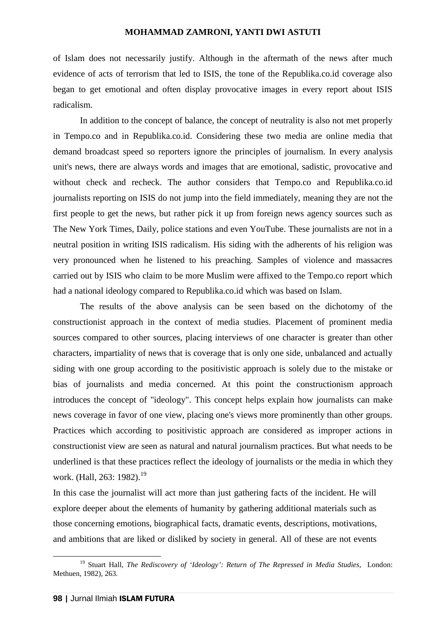of Islam does not necessarily justify. Although in the aftermath of the news after much evidence of acts of terrorism that led to ISIS, the tone of the Republika.co.id coverage also began to get emotional and often display provocative images in every report about ISIS radicalism.

In addition to the concept of balance, the concept of neutrality is also not met properly in Tempo.co and in Republika.co.id. Considering these two media are online media that demand broadcast speed so reporters ignore the principles of journalism. In every analysis unit's news, there are always words and images that are emotional, sadistic, provocative and without check and recheck. The author considers that Tempo.co and Republika.co.id journalists reporting on ISIS do not jump into the field immediately, meaning they are not the first people to get the news, but rather pick it up from foreign news agency sources such as The New York Times, Daily, police stations and even YouTube. These journalists are not in a neutral position in writing ISIS radicalism. His siding with the adherents of his religion was very pronounced when he listened to his preaching. Samples of violence and massacres carried out by ISIS who claim to be more Muslim were affixed to the Tempo.co report which had a national ideology compared to Republika.co.id which was based on Islam.

The results of the above analysis can be seen based on the dichotomy of the constructionist approach in the context of media studies. Placement of prominent media sources compared to other sources, placing interviews of one character is greater than other characters, impartiality of news that is coverage that is only one side, unbalanced and actually siding with one group according to the positivistic approach is solely due to the mistake or bias of journalists and media concerned. At this point the constructionism approach introduces the concept of "ideology". This concept helps explain how journalists can make news coverage in favor of one view, placing one's views more prominently than other groups. Practices which according to positivistic approach are considered as improper actions in constructionist view are seen as natural and natural journalism practices. But what needs to be underlined is that these practices reflect the ideology of journalists or the media in which they work. (Hall, 263: 1982).<sup>19</sup>

In this case the journalist will act more than just gathering facts of the incident. He will explore deeper about the elements of humanity by gathering additional materials such as those concerning emotions, biographical facts, dramatic events, descriptions, motivations, and ambitions that are liked or disliked by society in general. All of these are not events

<sup>19</sup> Stuart Hall*, The Rediscovery of 'Ideology': Return of The Repressed in Media Studies*, London: Methuen, 1982), 263.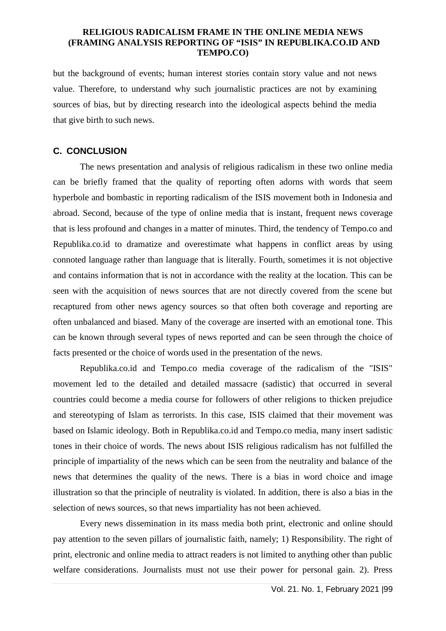but the background of events; human interest stories contain story value and not news value. Therefore, to understand why such journalistic practices are not by examining sources of bias, but by directing research into the ideological aspects behind the media that give birth to such news.

### **C. CONCLUSION**

The news presentation and analysis of religious radicalism in these two online media can be briefly framed that the quality of reporting often adorns with words that seem hyperbole and bombastic in reporting radicalism of the ISIS movement both in Indonesia and abroad. Second, because of the type of online media that is instant, frequent news coverage that is less profound and changes in a matter of minutes. Third, the tendency of Tempo.co and Republika.co.id to dramatize and overestimate what happens in conflict areas by using connoted language rather than language that is literally. Fourth, sometimes it is not objective and contains information that is not in accordance with the reality at the location. This can be seen with the acquisition of news sources that are not directly covered from the scene but recaptured from other news agency sources so that often both coverage and reporting are often unbalanced and biased. Many of the coverage are inserted with an emotional tone. This can be known through several types of news reported and can be seen through the choice of facts presented or the choice of words used in the presentation of the news.

Republika.co.id and Tempo.co media coverage of the radicalism of the "ISIS" movement led to the detailed and detailed massacre (sadistic) that occurred in several countries could become a media course for followers of other religions to thicken prejudice and stereotyping of Islam as terrorists. In this case, ISIS claimed that their movement was based on Islamic ideology. Both in Republika.co.id and Tempo.co media, many insert sadistic tones in their choice of words. The news about ISIS religious radicalism has not fulfilled the principle of impartiality of the news which can be seen from the neutrality and balance of the news that determines the quality of the news. There is a bias in word choice and image illustration so that the principle of neutrality is violated. In addition, there is also a bias in the selection of news sources, so that news impartiality has not been achieved.

Every news dissemination in its mass media both print, electronic and online should pay attention to the seven pillars of journalistic faith, namely; 1) Responsibility. The right of print, electronic and online media to attract readers is not limited to anything other than public welfare considerations. Journalists must not use their power for personal gain. 2). Press